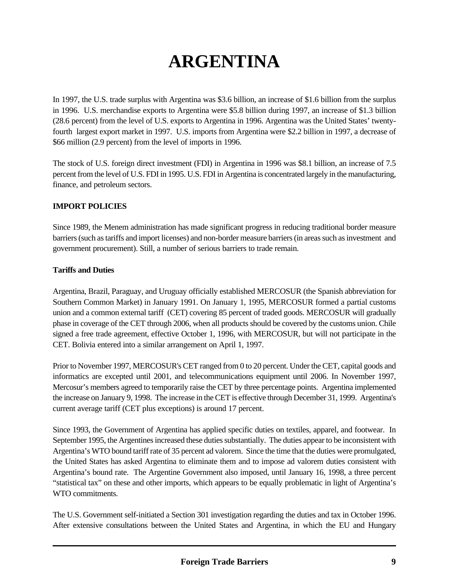# **ARGENTINA**

In 1997, the U.S. trade surplus with Argentina was \$3.6 billion, an increase of \$1.6 billion from the surplus in 1996. U.S. merchandise exports to Argentina were \$5.8 billion during 1997, an increase of \$1.3 billion (28.6 percent) from the level of U.S. exports to Argentina in 1996. Argentina was the United States' twentyfourth largest export market in 1997. U.S. imports from Argentina were \$2.2 billion in 1997, a decrease of \$66 million (2.9 percent) from the level of imports in 1996.

The stock of U.S. foreign direct investment (FDI) in Argentina in 1996 was \$8.1 billion, an increase of 7.5 percent from the level of U.S. FDI in 1995. U.S. FDI in Argentina is concentrated largely in the manufacturing, finance, and petroleum sectors.

## **IMPORT POLICIES**

Since 1989, the Menem administration has made significant progress in reducing traditional border measure barriers (such as tariffs and import licenses) and non-border measure barriers (in areas such as investment and government procurement). Still, a number of serious barriers to trade remain.

#### **Tariffs and Duties**

Argentina, Brazil, Paraguay, and Uruguay officially established MERCOSUR (the Spanish abbreviation for Southern Common Market) in January 1991. On January 1, 1995, MERCOSUR formed a partial customs union and a common external tariff (CET) covering 85 percent of traded goods. MERCOSUR will gradually phase in coverage of the CET through 2006, when all products should be covered by the customs union. Chile signed a free trade agreement, effective October 1, 1996, with MERCOSUR, but will not participate in the CET. Bolivia entered into a similar arrangement on April 1, 1997.

Prior to November 1997, MERCOSUR's CET ranged from 0 to 20 percent. Under the CET, capital goods and informatics are excepted until 2001, and telecommunications equipment until 2006. In November 1997, Mercosur's members agreed to temporarily raise the CET by three percentage points. Argentina implemented the increase on January 9, 1998. The increase in the CET is effective through December 31, 1999. Argentina's current average tariff (CET plus exceptions) is around 17 percent.

Since 1993, the Government of Argentina has applied specific duties on textiles, apparel, and footwear. In September 1995, the Argentines increased these duties substantially. The duties appear to be inconsistent with Argentina's WTO bound tariff rate of 35 percent ad valorem. Since the time that the duties were promulgated, the United States has asked Argentina to eliminate them and to impose ad valorem duties consistent with Argentina's bound rate. The Argentine Government also imposed, until January 16, 1998, a three percent "statistical tax" on these and other imports, which appears to be equally problematic in light of Argentina's WTO commitments.

The U.S. Government self-initiated a Section 301 investigation regarding the duties and tax in October 1996. After extensive consultations between the United States and Argentina, in which the EU and Hungary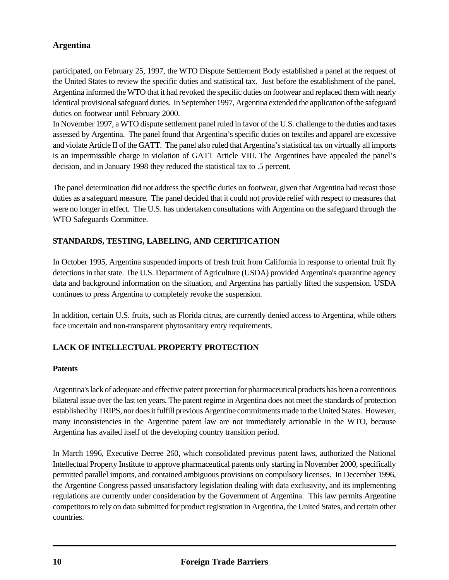# **Argentina**

participated, on February 25, 1997, the WTO Dispute Settlement Body established a panel at the request of the United States to review the specific duties and statistical tax. Just before the establishment of the panel, Argentina informed the WTO that it had revoked the specific duties on footwear and replaced them with nearly identical provisional safeguard duties. In September 1997, Argentina extended the application of the safeguard duties on footwear until February 2000.

In November 1997, a WTO dispute settlement panel ruled in favor of the U.S. challenge to the duties and taxes assessed by Argentina. The panel found that Argentina's specific duties on textiles and apparel are excessive and violate Article II of the GATT. The panel also ruled that Argentina's statistical tax on virtually all imports is an impermissible charge in violation of GATT Article VIII. The Argentines have appealed the panel's decision, and in January 1998 they reduced the statistical tax to .5 percent.

The panel determination did not address the specific duties on footwear, given that Argentina had recast those duties as a safeguard measure. The panel decided that it could not provide relief with respect to measures that were no longer in effect. The U.S. has undertaken consultations with Argentina on the safeguard through the WTO Safeguards Committee.

# **STANDARDS, TESTING, LABELING, AND CERTIFICATION**

In October 1995, Argentina suspended imports of fresh fruit from California in response to oriental fruit fly detections in that state. The U.S. Department of Agriculture (USDA) provided Argentina's quarantine agency data and background information on the situation, and Argentina has partially lifted the suspension. USDA continues to press Argentina to completely revoke the suspension.

In addition, certain U.S. fruits, such as Florida citrus, are currently denied access to Argentina, while others face uncertain and non-transparent phytosanitary entry requirements.

## **LACK OF INTELLECTUAL PROPERTY PROTECTION**

#### **Patents**

Argentina's lack of adequate and effective patent protection for pharmaceutical products has been a contentious bilateral issue over the last ten years. The patent regime in Argentina does not meet the standards of protection established by TRIPS, nor does it fulfill previous Argentine commitments made to the United States. However, many inconsistencies in the Argentine patent law are not immediately actionable in the WTO, because Argentina has availed itself of the developing country transition period.

In March 1996, Executive Decree 260, which consolidated previous patent laws, authorized the National Intellectual Property Institute to approve pharmaceutical patents only starting in November 2000, specifically permitted parallel imports, and contained ambiguous provisions on compulsory licenses. In December 1996, the Argentine Congress passed unsatisfactory legislation dealing with data exclusivity, and its implementing regulations are currently under consideration by the Government of Argentina. This law permits Argentine competitors to rely on data submitted for product registration in Argentina, the United States, and certain other countries.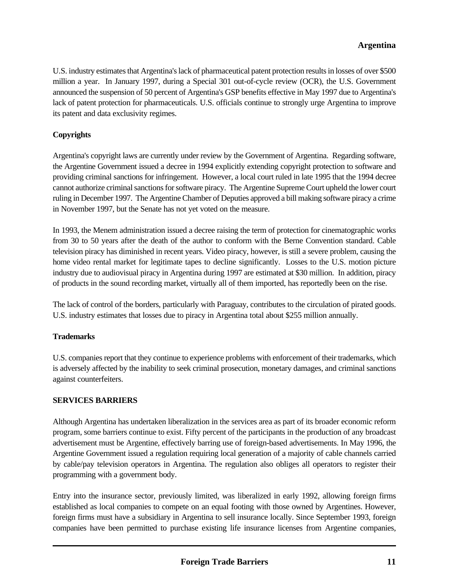# **Argentina**

U.S. industry estimates that Argentina's lack of pharmaceutical patent protection results in losses of over \$500 million a year. In January 1997, during a Special 301 out-of-cycle review (OCR), the U.S. Government announced the suspension of 50 percent of Argentina's GSP benefits effective in May 1997 due to Argentina's lack of patent protection for pharmaceuticals. U.S. officials continue to strongly urge Argentina to improve its patent and data exclusivity regimes.

### **Copyrights**

Argentina's copyright laws are currently under review by the Government of Argentina. Regarding software, the Argentine Government issued a decree in 1994 explicitly extending copyright protection to software and providing criminal sanctions for infringement. However, a local court ruled in late 1995 that the 1994 decree cannot authorize criminal sanctions for software piracy. The Argentine Supreme Court upheld the lower court ruling in December 1997. The Argentine Chamber of Deputies approved a bill making software piracy a crime in November 1997, but the Senate has not yet voted on the measure.

In 1993, the Menem administration issued a decree raising the term of protection for cinematographic works from 30 to 50 years after the death of the author to conform with the Berne Convention standard. Cable television piracy has diminished in recent years. Video piracy, however, is still a severe problem, causing the home video rental market for legitimate tapes to decline significantly. Losses to the U.S. motion picture industry due to audiovisual piracy in Argentina during 1997 are estimated at \$30 million. In addition, piracy of products in the sound recording market, virtually all of them imported, has reportedly been on the rise.

The lack of control of the borders, particularly with Paraguay, contributes to the circulation of pirated goods. U.S. industry estimates that losses due to piracy in Argentina total about \$255 million annually.

#### **Trademarks**

U.S. companies report that they continue to experience problems with enforcement of their trademarks, which is adversely affected by the inability to seek criminal prosecution, monetary damages, and criminal sanctions against counterfeiters.

#### **SERVICES BARRIERS**

Although Argentina has undertaken liberalization in the services area as part of its broader economic reform program, some barriers continue to exist. Fifty percent of the participants in the production of any broadcast advertisement must be Argentine, effectively barring use of foreign-based advertisements. In May 1996, the Argentine Government issued a regulation requiring local generation of a majority of cable channels carried by cable/pay television operators in Argentina. The regulation also obliges all operators to register their programming with a government body.

Entry into the insurance sector, previously limited, was liberalized in early 1992, allowing foreign firms established as local companies to compete on an equal footing with those owned by Argentines. However, foreign firms must have a subsidiary in Argentina to sell insurance locally. Since September 1993, foreign companies have been permitted to purchase existing life insurance licenses from Argentine companies,